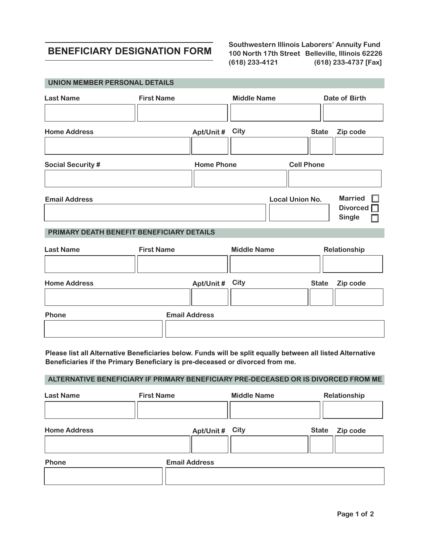## **BENEFICIARY DESIGNATION FORM**

 **UNION MEMBER PERSONAL DETAILS**

**Southwestern Illinois Laborers' Annuity Fund 100 North 17th Street Belleville, Illinois 62226 (618) 233-4121 (618) 233-4737 [Fax]** 

| <b>Last Name</b>                          | <b>First Name</b> |                    |      | <b>Middle Name</b>     |                   | Date of Birth                                      |  |
|-------------------------------------------|-------------------|--------------------|------|------------------------|-------------------|----------------------------------------------------|--|
|                                           |                   |                    |      |                        |                   |                                                    |  |
| <b>Home Address</b>                       |                   | Apt/Unit#          | City |                        | <b>State</b>      | Zip code                                           |  |
|                                           |                   |                    |      |                        |                   |                                                    |  |
| <b>Social Security #</b>                  |                   | <b>Home Phone</b>  |      |                        | <b>Cell Phone</b> |                                                    |  |
|                                           |                   |                    |      |                        |                   |                                                    |  |
| <b>Email Address</b>                      |                   |                    |      | <b>Local Union No.</b> |                   | <b>Married</b><br>Divorced $\Box$<br><b>Single</b> |  |
| PRIMARY DEATH BENEFIT BENEFICIARY DETAILS |                   |                    |      |                        |                   |                                                    |  |
| <b>Last Name</b>                          | <b>First Name</b> | <b>Middle Name</b> |      |                        | Relationship      |                                                    |  |
|                                           |                   |                    |      |                        |                   |                                                    |  |
| <b>Home Address</b>                       |                   | Apt/Unit # City    |      |                        | <b>State</b>      | Zip code                                           |  |
|                                           |                   |                    |      |                        |                   |                                                    |  |

**Phone Email Address**

**Please list all Alternative Beneficiaries below. Funds will be split equally between all listed Alternative Beneficiaries if the Primary Beneficiary is pre-deceased or divorced from me.**

## **ALTERNATIVE BENEFICIARY IF PRIMARY BENEFICIARY PRE-DECEASED OR IS DIVORCED FROM ME**

| <b>Last Name</b>    | <b>First Name</b> |                      | <b>Middle Name</b> |       | Relationship |  |
|---------------------|-------------------|----------------------|--------------------|-------|--------------|--|
|                     |                   |                      |                    |       |              |  |
| <b>Home Address</b> |                   | Apt/Unit # City      |                    | State | Zip code     |  |
|                     |                   |                      |                    |       |              |  |
| Phone               |                   | <b>Email Address</b> |                    |       |              |  |
|                     |                   |                      |                    |       |              |  |